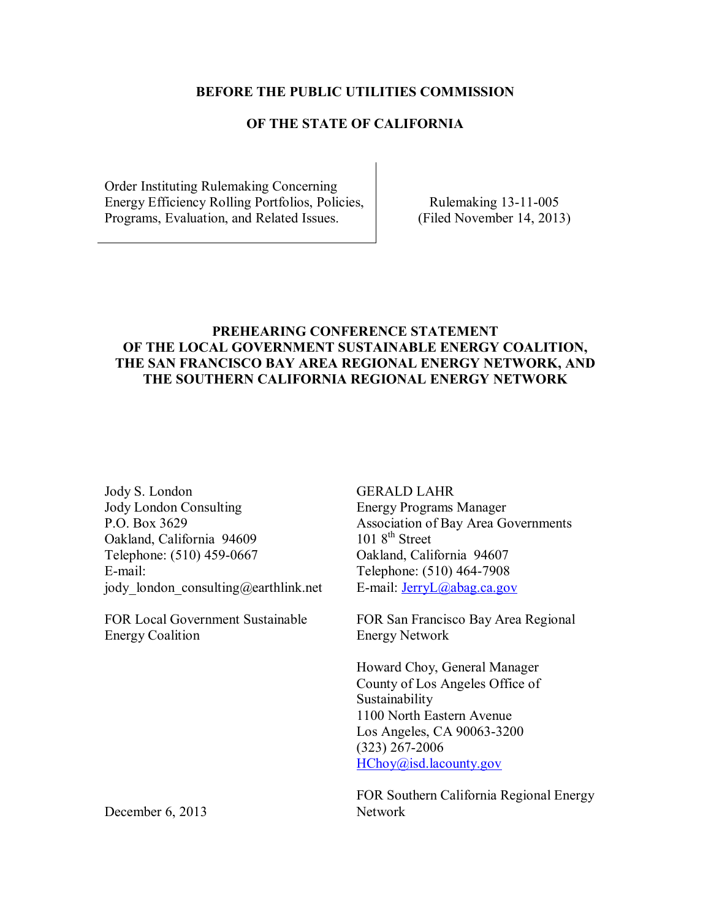#### **BEFORE THE PUBLIC UTILITIES COMMISSION**

## **OF THE STATE OF CALIFORNIA**

Order Instituting Rulemaking Concerning Energy Efficiency Rolling Portfolios, Policies, Programs, Evaluation, and Related Issues.

Rulemaking 13-11-005 (Filed November 14, 2013)

## **PREHEARING CONFERENCE STATEMENT OF THE LOCAL GOVERNMENT SUSTAINABLE ENERGY COALITION, THE SAN FRANCISCO BAY AREA REGIONAL ENERGY NETWORK, AND THE SOUTHERN CALIFORNIA REGIONAL ENERGY NETWORK**

Jody S. London Jody London Consulting P.O. Box 3629 Oakland, California 94609 Telephone: (510) 459-0667 E-mail: jody london consulting@earthlink.net

FOR Local Government Sustainable Energy Coalition

GERALD LAHR Energy Programs Manager Association of Bay Area Governments  $1018^{\text{th}}$  Street Oakland, California 94607 Telephone: (510) 464-7908 E-mail: [JerryL@abag.ca.gov](mailto:JerryL@abag.ca.gov)

FOR San Francisco Bay Area Regional Energy Network

Howard Choy, General Manager County of Los Angeles Office of Sustainability 1100 North Eastern Avenue Los Angeles, CA 90063-3200 (323) 267-2006 [HChoy@isd.lacounty.gov](mailto:HChoy@isd.lacounty.gov)

FOR Southern California Regional Energy Network

December 6, 2013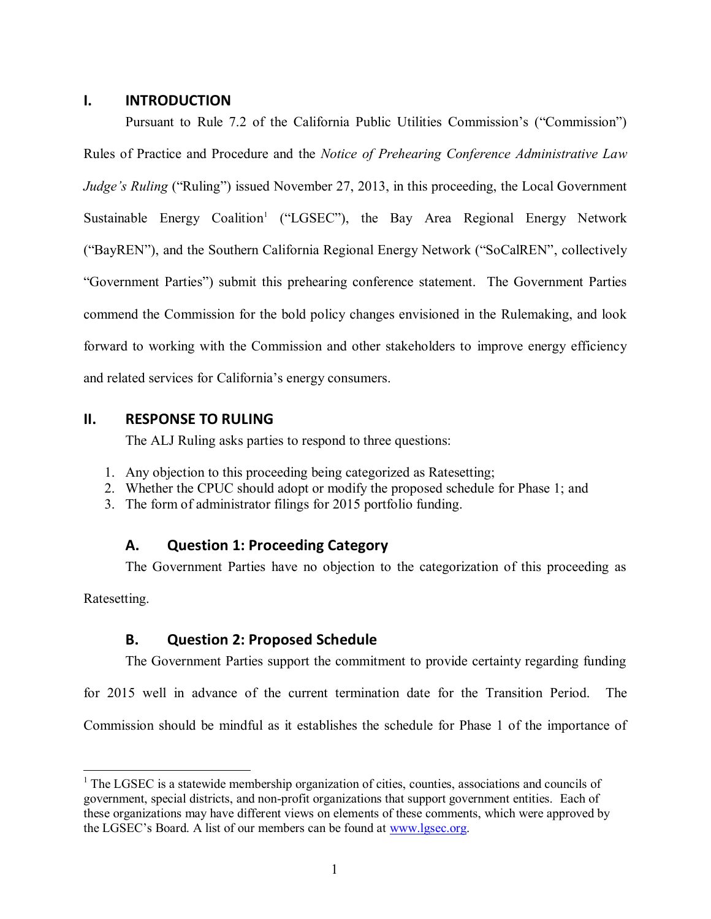#### **I. INTRODUCTION**

Pursuant to Rule 7.2 of the California Public Utilities Commission's ("Commission") Rules of Practice and Procedure and the *Notice of Prehearing Conference Administrative Law Judge's Ruling* ("Ruling") issued November 27, 2013, in this proceeding, the Local Government Sustainable Energy Coalition<sup>1</sup> ("LGSEC"), the Bay Area Regional Energy Network ("BayREN"), and the Southern California Regional Energy Network ("SoCalREN", collectively "Government Parties") submit this prehearing conference statement. The Government Parties commend the Commission for the bold policy changes envisioned in the Rulemaking, and look forward to working with the Commission and other stakeholders to improve energy efficiency and related services for California's energy consumers.

## **II. RESPONSE TO RULING**

The ALJ Ruling asks parties to respond to three questions:

- 1. Any objection to this proceeding being categorized as Ratesetting;
- 2. Whether the CPUC should adopt or modify the proposed schedule for Phase 1; and
- 3. The form of administrator filings for 2015 portfolio funding.

## **A. Question 1: Proceeding Category**

The Government Parties have no objection to the categorization of this proceeding as

Ratesetting.

 $\overline{a}$ 

# **B. Question 2: Proposed Schedule**

The Government Parties support the commitment to provide certainty regarding funding

for 2015 well in advance of the current termination date for the Transition Period. The

Commission should be mindful as it establishes the schedule for Phase 1 of the importance of

 $<sup>1</sup>$  The LGSEC is a statewide membership organization of cities, counties, associations and councils of</sup> government, special districts, and non-profit organizations that support government entities. Each of these organizations may have different views on elements of these comments, which were approved by the LGSEC's Board. A list of our members can be found at [www.lgsec.org.](http://www.lgsec.org/)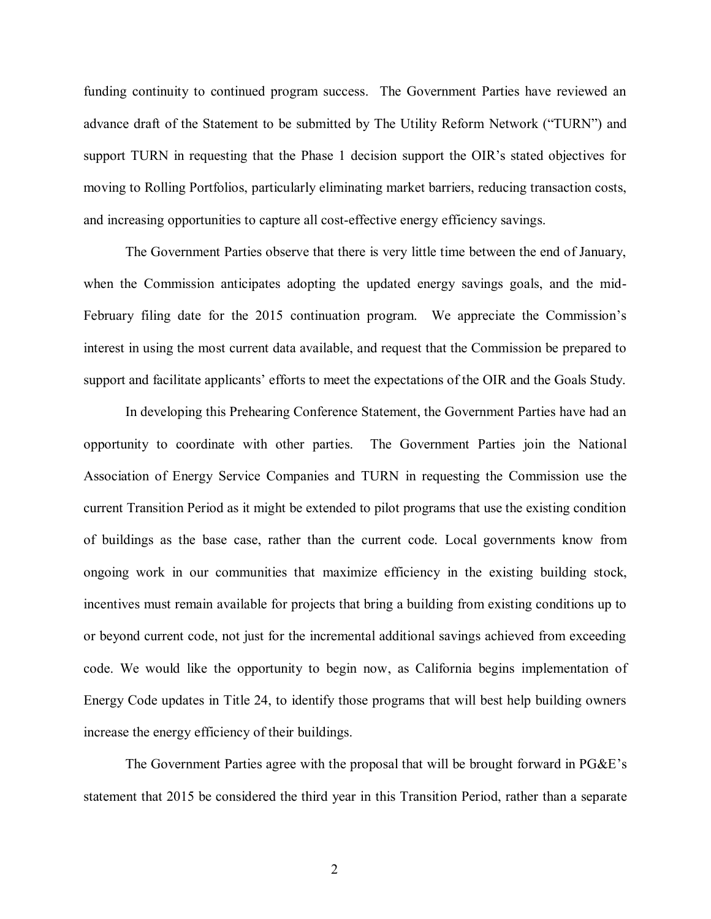funding continuity to continued program success. The Government Parties have reviewed an advance draft of the Statement to be submitted by The Utility Reform Network ("TURN") and support TURN in requesting that the Phase 1 decision support the OIR's stated objectives for moving to Rolling Portfolios, particularly eliminating market barriers, reducing transaction costs, and increasing opportunities to capture all cost-effective energy efficiency savings.

The Government Parties observe that there is very little time between the end of January, when the Commission anticipates adopting the updated energy savings goals, and the mid-February filing date for the 2015 continuation program. We appreciate the Commission's interest in using the most current data available, and request that the Commission be prepared to support and facilitate applicants' efforts to meet the expectations of the OIR and the Goals Study.

In developing this Prehearing Conference Statement, the Government Parties have had an opportunity to coordinate with other parties. The Government Parties join the National Association of Energy Service Companies and TURN in requesting the Commission use the current Transition Period as it might be extended to pilot programs that use the existing condition of buildings as the base case, rather than the current code. Local governments know from ongoing work in our communities that maximize efficiency in the existing building stock, incentives must remain available for projects that bring a building from existing conditions up to or beyond current code, not just for the incremental additional savings achieved from exceeding code. We would like the opportunity to begin now, as California begins implementation of Energy Code updates in Title 24, to identify those programs that will best help building owners increase the energy efficiency of their buildings.

The Government Parties agree with the proposal that will be brought forward in PG&E's statement that 2015 be considered the third year in this Transition Period, rather than a separate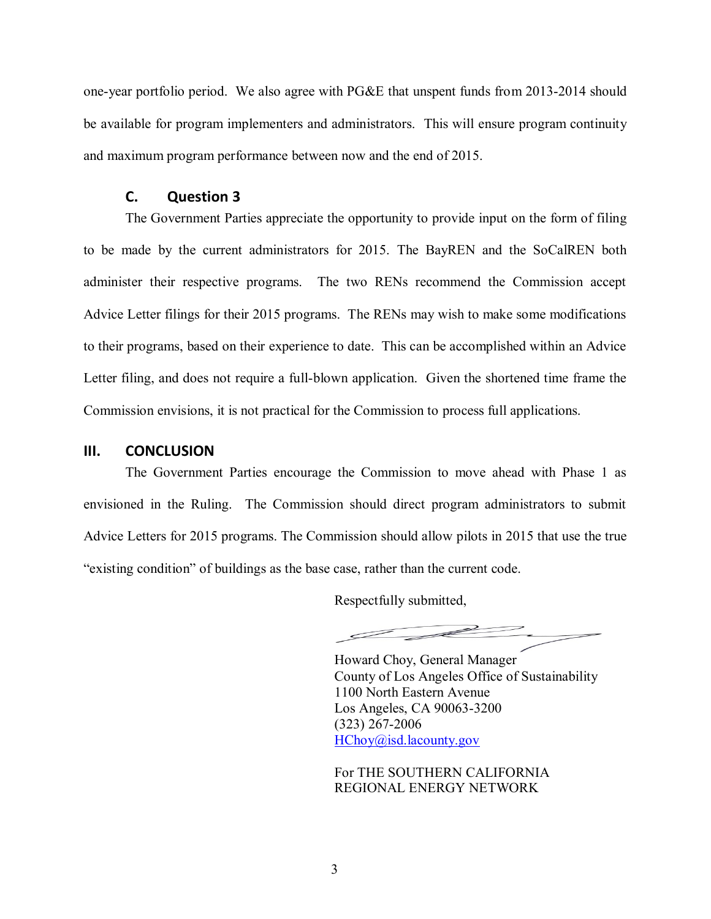one-year portfolio period. We also agree with PG&E that unspent funds from 2013-2014 should be available for program implementers and administrators. This will ensure program continuity and maximum program performance between now and the end of 2015.

#### **C. Question 3**

The Government Parties appreciate the opportunity to provide input on the form of filing to be made by the current administrators for 2015. The BayREN and the SoCalREN both administer their respective programs. The two RENs recommend the Commission accept Advice Letter filings for their 2015 programs. The RENs may wish to make some modifications to their programs, based on their experience to date. This can be accomplished within an Advice Letter filing, and does not require a full-blown application. Given the shortened time frame the Commission envisions, it is not practical for the Commission to process full applications.

#### **III. CONCLUSION**

The Government Parties encourage the Commission to move ahead with Phase 1 as envisioned in the Ruling. The Commission should direct program administrators to submit Advice Letters for 2015 programs. The Commission should allow pilots in 2015 that use the true "existing condition" of buildings as the base case, rather than the current code.

Respectfully submitted,

Howard Choy, General Manager County of Los Angeles Office of Sustainability 1100 North Eastern Avenue Los Angeles, CA 90063-3200 (323) 267-2006 [HChoy@isd.lacounty.gov](mailto:HChoy@isd.lacounty.gov)

For THE SOUTHERN CALIFORNIA REGIONAL ENERGY NETWORK